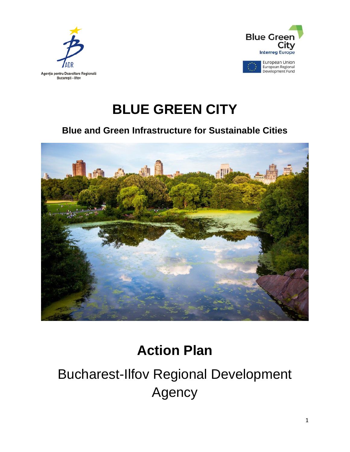



## **BLUE GREEN CITY**

### **Blue and Green Infrastructure for Sustainable Cities**



## **Action Plan**

# Bucharest-Ilfov Regional Development Agency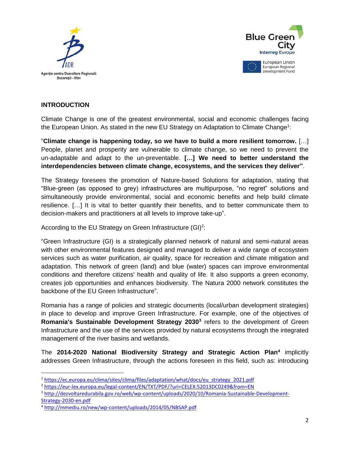



#### **INTRODUCTION**

l

Climate Change is one of the greatest environmental, social and economic challenges facing the European Union. As stated in the new EU Strategy on Adaptation to Climate Change<sup>1</sup>:

"**Climate change is happening today, so we have to build a more resilient tomorrow.** […] People, planet and prosperity are vulnerable to climate change, so we need to prevent the un-adaptable and adapt to the un-preventable. **[…] We need to better understand the interdependencies between climate change, ecosystems, and the services they deliver"**.

The Strategy foresees the promotion of Nature-based Solutions for adaptation, stating that "Blue-green (as opposed to grey) infrastructures are multipurpose, "no regret" solutions and simultaneously provide environmental, social and economic benefits and help build climate resilience. […] It is vital to better quantify their benefits, and to better communicate them to decision-makers and practitioners at all levels to improve take-up".

According to the EU Strategy on Green Infrastructure  $(GI)^2$ :

"Green Infrastructure (GI) is a strategically planned network of natural and semi-natural areas with other environmental features designed and managed to deliver a wide range of ecosystem services such as water purification, air quality, space for recreation and climate mitigation and adaptation. This network of green (land) and blue (water) spaces can improve environmental conditions and therefore citizens' health and quality of life. It also supports a green economy, creates job opportunities and enhances biodiversity. The Natura 2000 network constitutes the backbone of the EU Green Infrastructure".

Romania has a range of policies and strategic documents (local/urban development strategies) in place to develop and improve Green Infrastructure. For example, one of the objectives of Romania's Sustainable Development Strategy 2030<sup>3</sup> refers to the development of Green Infrastructure and the use of the services provided by natural ecosystems through the integrated management of the river basins and wetlands.

The **2014-2020 National Biodiversity Strategy and Strategic Action Plan<sup>4</sup>** implicitly addresses Green Infrastructure, through the actions foreseen in this field, such as: introducing

<sup>1</sup> [https://ec.europa.eu/clima/sites/clima/files/adaptation/what/docs/eu\\_strategy\\_2021.pdf](https://ec.europa.eu/clima/sites/clima/files/adaptation/what/docs/eu_strategy_2021.pdf)

<sup>2</sup> <https://eur-lex.europa.eu/legal-content/EN/TXT/PDF/?uri=CELEX:52013DC0249&from=EN>

<sup>3</sup> [http://dezvoltaredurabila.gov.ro/web/wp-content/uploads/2020/10/Romania-Sustainable-Development-](http://dezvoltaredurabila.gov.ro/web/wp-content/uploads/2020/10/Romania-Sustainable-Development-Strategy-2030-en.pdf)[Strategy-2030-en.pdf](http://dezvoltaredurabila.gov.ro/web/wp-content/uploads/2020/10/Romania-Sustainable-Development-Strategy-2030-en.pdf)

<sup>4</sup> <http://mmediu.ro/new/wp-content/uploads/2014/05/NBSAP.pdf>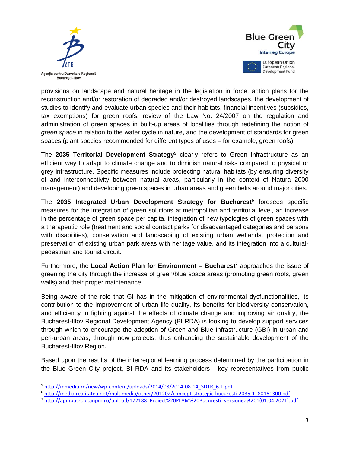

 $\overline{a}$ 



provisions on landscape and natural heritage in the legislation in force, action plans for the reconstruction and/or restoration of degraded and/or destroyed landscapes, the development of studies to identify and evaluate urban species and their habitats, financial incentives (subsidies, tax exemptions) for green roofs, review of the Law No. 24/2007 on the regulation and administration of green spaces in built-up areas of localities through redefining the notion of *green space* in relation to the water cycle in nature, and the development of standards for green spaces (plant species recommended for different types of uses – for example, green roofs).

The **2035 Territorial Development Strategy<sup>5</sup>** clearly refers to Green Infrastructure as an efficient way to adapt to climate change and to diminish natural risks compared to physical or grey infrastructure. Specific measures include protecting natural habitats (by ensuring diversity of and interconnectivity between natural areas, particularly in the context of Natura 2000 management) and developing green spaces in urban areas and green belts around major cities.

The **2035 Integrated Urban Development Strategy for Bucharest<sup>6</sup>** foresees specific measures for the integration of green solutions at metropolitan and territorial level, an increase in the percentage of green space per capita, integration of new typologies of green spaces with a therapeutic role (treatment and social contact parks for disadvantaged categories and persons with disabilities), conservation and landscaping of existing urban wetlands, protection and preservation of existing urban park areas with heritage value, and its integration into a culturalpedestrian and tourist circuit.

Furthermore, the **Local Action Plan for Environment – Bucharest<sup>7</sup>** approaches the issue of greening the city through the increase of green/blue space areas (promoting green roofs, green walls) and their proper maintenance.

Being aware of the role that GI has in the mitigation of environmental dysfunctionalities, its contribution to the improvement of urban life quality, its benefits for biodiversity conservation, and efficiency in fighting against the effects of climate change and improving air quality, the Bucharest-Ilfov Regional Development Agency (BI RDA) is looking to develop support services through which to encourage the adoption of Green and Blue Infrastructure (GBI) in urban and peri-urban areas, through new projects, thus enhancing the sustainable development of the Bucharest-Ilfov Region.

Based upon the results of the interregional learning process determined by the participation in the Blue Green City project, BI RDA and its stakeholders - key representatives from public

<sup>5</sup> [http://mmediu.ro/new/wp-content/uploads/2014/08/2014-08-14\\_SDTR\\_6.1.pdf](http://mmediu.ro/new/wp-content/uploads/2014/08/2014-08-14_SDTR_6.1.pdf)

<sup>6</sup> [http://media.realitatea.net/multimedia/other/201202/concept-strategic-bucuresti-2035-1\\_80161300.pdf](http://media.realitatea.net/multimedia/other/201202/concept-strategic-bucuresti-2035-1_80161300.pdf)

<sup>7</sup> [http://apmbuc-old.anpm.ro/upload/172188\\_Proiect%20PLAM%20Bucuresti\\_versiunea%201\(01.04.2021\).pdf](http://apmbuc-old.anpm.ro/upload/172188_Proiect%20PLAM%20Bucuresti_versiunea%201(01.04.2021).pdf)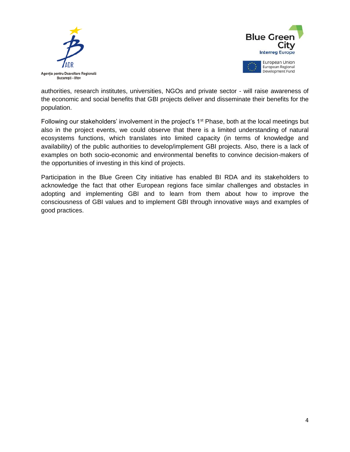



authorities, research institutes, universities, NGOs and private sector - will raise awareness of the economic and social benefits that GBI projects deliver and disseminate their benefits for the population.

Following our stakeholders' involvement in the project's 1<sup>st</sup> Phase, both at the local meetings but also in the project events, we could observe that there is a limited understanding of natural ecosystems functions, which translates into limited capacity (in terms of knowledge and availability) of the public authorities to develop/implement GBI projects. Also, there is a lack of examples on both socio-economic and environmental benefits to convince decision-makers of the opportunities of investing in this kind of projects.

Participation in the Blue Green City initiative has enabled BI RDA and its stakeholders to acknowledge the fact that other European regions face similar challenges and obstacles in adopting and implementing GBI and to learn from them about how to improve the consciousness of GBI values and to implement GBI through innovative ways and examples of good practices.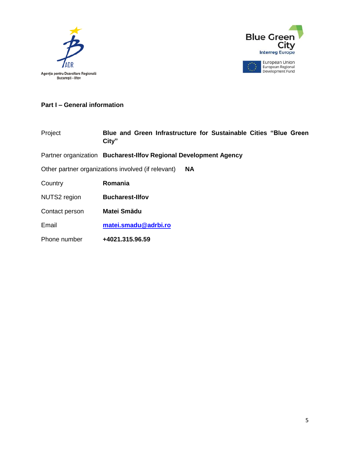



#### **Part I – General information**

| Project        | Blue and Green Infrastructure for Sustainable Cities "Blue Green<br>City" |
|----------------|---------------------------------------------------------------------------|
|                | Partner organization Bucharest-Ilfov Regional Development Agency          |
|                | Other partner organizations involved (if relevant)<br><b>NA</b>           |
| Country        | Romania                                                                   |
| NUTS2 region   | <b>Bucharest-Ilfov</b>                                                    |
| Contact person | <b>Matei Smădu</b>                                                        |
| Email          | matei.smadu@adrbi.ro                                                      |
| Phone number   | +4021.315.96.59                                                           |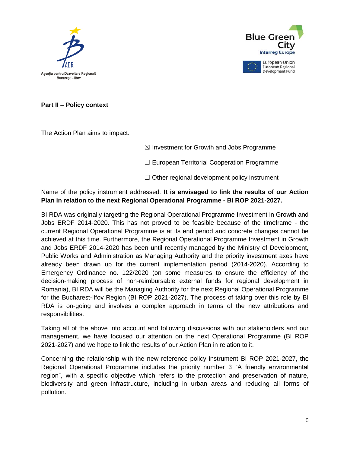



Development Fund

**Part II – Policy context**

The Action Plan aims to impact:

 $\boxtimes$  Investment for Growth and Jobs Programme

☐ European Territorial Cooperation Programme

 $\Box$  Other regional development policy instrument

Name of the policy instrument addressed: **It is envisaged to link the results of our Action Plan in relation to the next Regional Operational Programme - BI ROP 2021-2027.**

BI RDA was originally targeting the Regional Operational Programme Investment in Growth and Jobs ERDF 2014-2020. This has not proved to be feasible because of the timeframe - the current Regional Operational Programme is at its end period and concrete changes cannot be achieved at this time. Furthermore, the Regional Operational Programme Investment in Growth and Jobs ERDF 2014-2020 has been until recently managed by the Ministry of Development, Public Works and Administration as Managing Authority and the priority investment axes have already been drawn up for the current implementation period (2014-2020). According to Emergency Ordinance no. 122/2020 (on some measures to ensure the efficiency of the decision-making process of non-reimbursable external funds for regional development in Romania), BI RDA will be the Managing Authority for the next Regional Operational Programme for the Bucharest-Ilfov Region (BI ROP 2021-2027). The process of taking over this role by BI RDA is on-going and involves a complex approach in terms of the new attributions and responsibilities.

Taking all of the above into account and following discussions with our stakeholders and our management, we have focused our attention on the next Operational Programme (BI ROP 2021-2027) and we hope to link the results of our Action Plan in relation to it.

Concerning the relationship with the new reference policy instrument BI ROP 2021-2027, the Regional Operational Programme includes the priority number 3 "A friendly environmental region", with a specific objective which refers to the protection and preservation of nature, biodiversity and green infrastructure, including in urban areas and reducing all forms of pollution.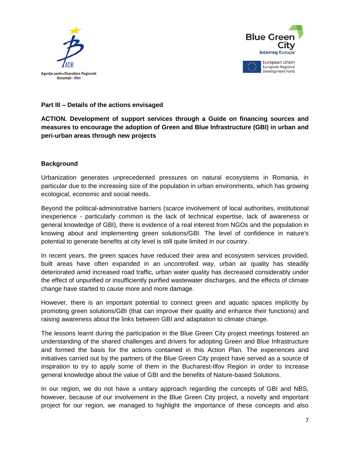



#### **Part III – Details of the actions envisaged**

**ACTION. Development of support services through a Guide on financing sources and measures to encourage the adoption of Green and Blue Infrastructure (GBI) in urban and peri-urban areas through new projects**

#### **Background**

Urbanization generates unprecedented pressures on natural ecosystems in Romania, in particular due to the increasing size of the population in urban environments, which has growing ecological, economic and social needs.

Beyond the political-administrative barriers (scarce involvement of local authorities, institutional inexperience - particularly common is the lack of technical expertise, lack of awareness or general knowledge of GBI), there is evidence of a real interest from NGOs and the population in knowing about and implementing green solutions/GBI. The level of confidence in nature's potential to generate benefits at city level is still quite limited in our country.

In recent years, the green spaces have reduced their area and ecosystem services provided, built areas have often expanded in an uncontrolled way, urban air quality has steadily deteriorated amid increased road traffic, urban water quality has decreased considerably under the effect of unpurified or insufficiently purified wastewater discharges, and the effects of climate change have started to cause more and more damage.

However, there is an important potential to connect green and aquatic spaces implicitly by promoting green solutions/GBI (that can improve their quality and enhance their functions) and raising awareness about the links between GBI and adaptation to climate change.

The lessons learnt during the participation in the Blue Green City project meetings fostered an understanding of the shared challenges and drivers for adopting Green and Blue Infrastructure and formed the basis for the actions contained in this Action Plan. The experiences and initiatives carried out by the partners of the Blue Green City project have served as a source of inspiration to try to apply some of them in the Bucharest-Ilfov Region in order to increase general knowledge about the value of GBI and the benefits of Nature-based Solutions.

In our region, we do not have a unitary approach regarding the concepts of GBI and NBS, however, because of our involvement in the Blue Green City project, a novelty and important project for our region, we managed to highlight the importance of these concepts and also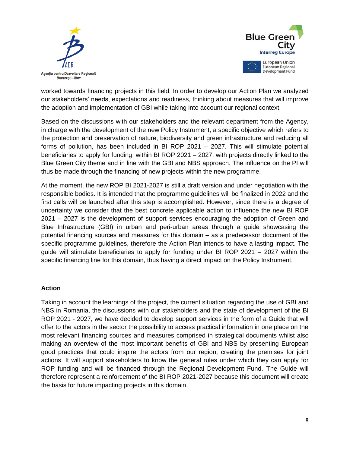



worked towards financing projects in this field. In order to develop our Action Plan we analyzed our stakeholders' needs, expectations and readiness, thinking about measures that will improve the adoption and implementation of GBI while taking into account our regional context.

Based on the discussions with our stakeholders and the relevant department from the Agency, in charge with the development of the new Policy Instrument, a specific objective which refers to the protection and preservation of nature, biodiversity and green infrastructure and reducing all forms of pollution, has been included in BI ROP 2021 – 2027. This will stimulate potential beneficiaries to apply for funding, within BI ROP 2021 – 2027, with projects directly linked to the Blue Green City theme and in line with the GBI and NBS approach. The influence on the PI will thus be made through the financing of new projects within the new programme.

At the moment, the new ROP BI 2021-2027 is still a draft version and under negotiation with the responsible bodies. It is intended that the programme guidelines will be finalized in 2022 and the first calls will be launched after this step is accomplished. However, since there is a degree of uncertainty we consider that the best concrete applicable action to influence the new BI ROP 2021 – 2027 is the development of support services encouraging the adoption of Green and Blue Infrastructure (GBI) in urban and peri-urban areas through a guide showcasing the potential financing sources and measures for this domain – as a predecessor document of the specific programme guidelines, therefore the Action Plan intends to have a lasting impact. The guide will stimulate beneficiaries to apply for funding under BI ROP 2021 – 2027 within the specific financing line for this domain, thus having a direct impact on the Policy Instrument.

#### **Action**

Taking in account the learnings of the project, the current situation regarding the use of GBI and NBS in Romania, the discussions with our stakeholders and the state of development of the BI ROP 2021 - 2027, we have decided to develop support services in the form of a Guide that will offer to the actors in the sector the possibility to access practical information in one place on the most relevant financing sources and measures comprised in strategical documents whilst also making an overview of the most important benefits of GBI and NBS by presenting European good practices that could inspire the actors from our region, creating the premises for joint actions. It will support stakeholders to know the general rules under which they can apply for ROP funding and will be financed through the Regional Development Fund. The Guide will therefore represent a reinforcement of the BI ROP 2021-2027 because this document will create the basis for future impacting projects in this domain.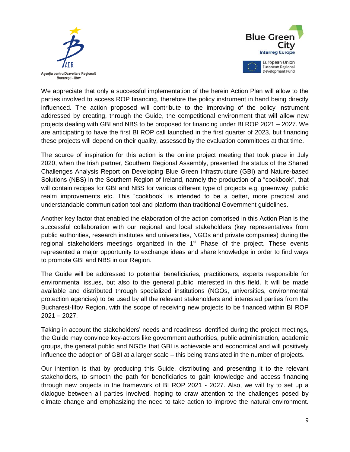



We appreciate that only a successful implementation of the herein Action Plan will allow to the parties involved to access ROP financing, therefore the policy instrument in hand being directly influenced. The action proposed will contribute to the improving of the policy instrument addressed by creating, through the Guide, the competitional environment that will allow new projects dealing with GBI and NBS to be proposed for financing under BI ROP 2021 – 2027. We are anticipating to have the first BI ROP call launched in the first quarter of 2023, but financing these projects will depend on their quality, assessed by the evaluation committees at that time.

The source of inspiration for this action is the online project meeting that took place in July 2020, when the Irish partner, Southern Regional Assembly, presented the status of the Shared Challenges Analysis Report on Developing Blue Green Infrastructure (GBI) and Nature-based Solutions (NBS) in the Southern Region of Ireland, namely the production of a "cookbook", that will contain recipes for GBI and NBS for various different type of projects e.g. greenway, public realm improvements etc. This "cookbook" is intended to be a better, more practical and understandable communication tool and platform than traditional Government guidelines.

Another key factor that enabled the elaboration of the action comprised in this Action Plan is the successful collaboration with our regional and local stakeholders (key representatives from public authorities, research institutes and universities, NGOs and private companies) during the regional stakeholders meetings organized in the  $1<sup>st</sup>$  Phase of the project. These events represented a major opportunity to exchange ideas and share knowledge in order to find ways to promote GBI and NBS in our Region.

The Guide will be addressed to potential beneficiaries, practitioners, experts responsible for environmental issues, but also to the general public interested in this field. It will be made available and distributed through specialized institutions (NGOs, universities, environmental protection agencies) to be used by all the relevant stakeholders and interested parties from the Bucharest-Ilfov Region, with the scope of receiving new projects to be financed within BI ROP 2021 – 2027.

Taking in account the stakeholders' needs and readiness identified during the project meetings, the Guide may convince key-actors like government authorities, public administration, academic groups, the general public and NGOs that GBI is achievable and economical and will positively influence the adoption of GBI at a larger scale – this being translated in the number of projects.

Our intention is that by producing this Guide, distributing and presenting it to the relevant stakeholders, to smooth the path for beneficiaries to gain knowledge and access financing through new projects in the framework of BI ROP 2021 - 2027. Also, we will try to set up a dialogue between all parties involved, hoping to draw attention to the challenges posed by climate change and emphasizing the need to take action to improve the natural environment.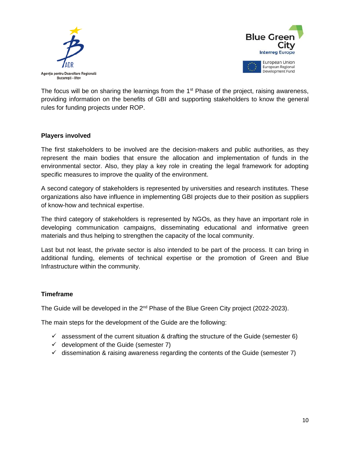



The focus will be on sharing the learnings from the 1<sup>st</sup> Phase of the project, raising awareness, providing information on the benefits of GBI and supporting stakeholders to know the general rules for funding projects under ROP.

#### **Players involved**

The first stakeholders to be involved are the decision-makers and public authorities, as they represent the main bodies that ensure the allocation and implementation of funds in the environmental sector. Also, they play a key role in creating the legal framework for adopting specific measures to improve the quality of the environment.

A second category of stakeholders is represented by universities and research institutes. These organizations also have influence in implementing GBI projects due to their position as suppliers of know-how and technical expertise.

The third category of stakeholders is represented by NGOs, as they have an important role in developing communication campaigns, disseminating educational and informative green materials and thus helping to strengthen the capacity of the local community.

Last but not least, the private sector is also intended to be part of the process. It can bring in additional funding, elements of technical expertise or the promotion of Green and Blue Infrastructure within the community.

#### **Timeframe**

The Guide will be developed in the 2<sup>nd</sup> Phase of the Blue Green City project (2022-2023).

The main steps for the development of the Guide are the following:

- $\checkmark$  assessment of the current situation & drafting the structure of the Guide (semester 6)
- $\checkmark$  development of the Guide (semester 7)
- $\checkmark$  dissemination & raising awareness regarding the contents of the Guide (semester 7)